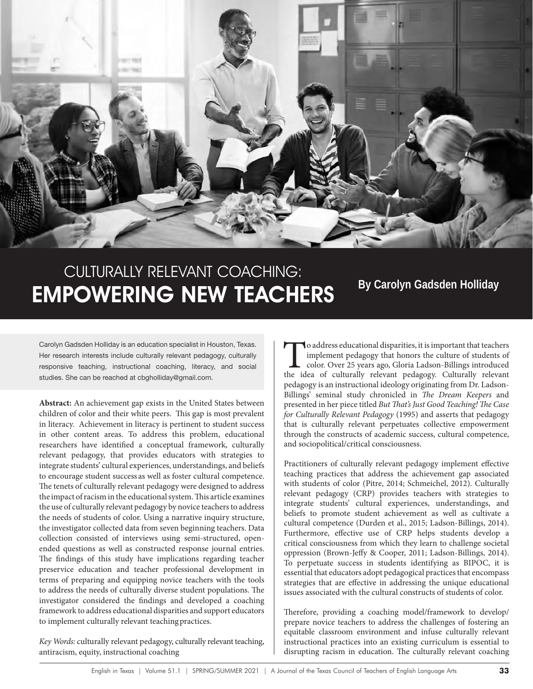

# CULTURALLY RELEVANT COACHING: **EMPOWERING NEW TEACHERS** By Carolyn Gadsden Holliday

Carolyn Gadsden Holliday is an education specialist in Houston, Texas. Her research interests include culturally relevant pedagogy, culturally responsive teaching, instructional coaching, literacy, and social studies. She can be reached at cbgholliday@gmail.com.

**Abstract:** An achievement gap exists in the United States between children of color and their white peers. This gap is most prevalent in literacy. Achievement in literacy is pertinent to student success in other content areas. To address this problem, educational researchers have identified a conceptual framework, culturally relevant pedagogy, that provides educators with strategies to integrate students' cultural experiences, understandings, and beliefs to encourage student success as well as foster cultural competence. The tenets of culturally relevant pedagogy were designed to address the impact of racism in the educational system. This article examines the use of culturally relevant pedagogy by novice teachers to address the needs of students of color. Using a narrative inquiry structure, the investigator collected data from seven beginning teachers. Data collection consisted of interviews using semi-structured, openended questions as well as constructed response journal entries. The findings of this study have implications regarding teacher preservice education and teacher professional development in terms of preparing and equipping novice teachers with the tools to address the needs of culturally diverse student populations. The investigator considered the findings and developed a coaching framework to address educational disparities and support educators to implement culturally relevant teaching practices.

*Key Words:* culturally relevant pedagogy, culturally relevant teaching, antiracism, equity, instructional coaching

To address educational disparities, it is important that teachers implement pedagogy that honors the culture of students of color. Over 25 years ago, Gloria Ladson-Billings introduced the idea of culturally relevant pedagogy. Culturally relevant pedagogy is an instructional ideology originating from Dr. Ladson-Billings' seminal study chronicled in *The Dream Keepers* and presented in her piece titled *But That's Just Good Teaching! The Case for Culturally Relevant Pedagogy* (1995) and asserts that pedagogy that is culturally relevant perpetuates collective empowerment through the constructs of academic success, cultural competence, and sociopolitical/critical consciousness.

Practitioners of culturally relevant pedagogy implement effective teaching practices that address the achievement gap associated with students of color (Pitre, 2014; Schmeichel, 2012). Culturally relevant pedagogy (CRP) provides teachers with strategies to integrate students' cultural experiences, understandings, and beliefs to promote student achievement as well as cultivate a cultural competence (Durden et al., 2015; Ladson-Billings, 2014). Furthermore, effective use of CRP helps students develop a critical consciousness from which they learn to challenge societal oppression (Brown-Jeffy & Cooper, 2011; Ladson-Billings, 2014). To perpetuate success in students identifying as BIPOC, it is essential that educators adopt pedagogical practices that encompass strategies that are effective in addressing the unique educational issues associated with the cultural constructs of students of color.

Therefore, providing a coaching model/framework to develop/ prepare novice teachers to address the challenges of fostering an equitable classroom environment and infuse culturally relevant instructional practices into an existing curriculum is essential to disrupting racism in education. The culturally relevant coaching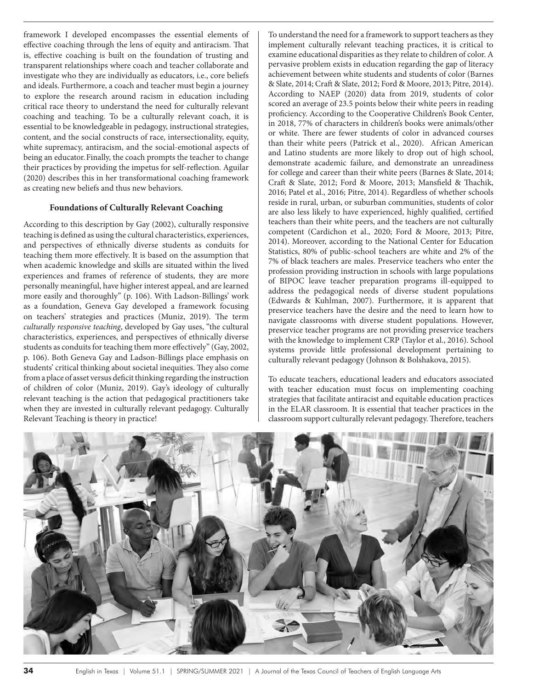framework I developed encompasses the essential elements of effective coaching through the lens of equity and antiracism. That is, effective coaching is built on the foundation of trusting and transparent relationships where coach and teacher collaborate and investigate who they are individually as educators, i.e., core beliefs and ideals. Furthermore, a coach and teacher must begin a journey to explore the research around racism in education including critical race theory to understand the need for culturally relevant coaching and teaching. To be a culturally relevant coach, it is essential to be knowledgeable in pedagogy, instructional strategies, content, and the social constructs of race, intersectionality, equity, white supremacy, antiracism, and the social-emotional aspects of being an educator. Finally, the coach prompts the teacher to change their practices by providing the impetus for self-reflection. Aguilar (2020) describes this in her transformational coaching framework as creating new beliefs and thus new behaviors.

# **Foundations of Culturally Relevant Coaching**

According to this description by Gay (2002), culturally responsive teaching is defined as using the cultural characteristics, experiences, and perspectives of ethnically diverse students as conduits for teaching them more effectively. It is based on the assumption that when academic knowledge and skills are situated within the lived experiences and frames of reference of students, they are more personally meaningful, have higher interest appeal, and are learned more easily and thoroughly" (p. 106). With Ladson-Billings' work as a foundation, Geneva Gay developed a framework focusing on teachers' strategies and practices (Muniz, 2019). The term *culturally responsive teaching*, developed by Gay uses, "the cultural characteristics, experiences, and perspectives of ethnically diverse students as conduits for teaching them more effectively" (Gay, 2002, p. 106). Both Geneva Gay and Ladson-Billings place emphasis on students' critical thinking about societal inequities. They also come from a place of asset versus deficit thinking regarding the instruction of children of color (Muniz, 2019). Gay's ideology of culturally relevant teaching is the action that pedagogical practitioners take when they are invested in culturally relevant pedagogy. Culturally Relevant Teaching is theory in practice!

To understand the need for a framework to support teachers as they implement culturally relevant teaching practices, it is critical to examine educational disparities as they relate to children of color. A pervasive problem exists in education regarding the gap of literacy achievement between white students and students of color (Barnes & Slate, 2014; Craft & Slate, 2012; Ford & Moore, 2013; Pitre, 2014). According to NAEP (2020) data from 2019, students of color scored an average of 23.5 points below their white peers in reading proficiency. According to the Cooperative Children's Book Center, in 2018, 77% of characters in children's books were animals/other or white. There are fewer students of color in advanced courses than their white peers (Patrick et al., 2020). African American and Latino students are more likely to drop out of high school, demonstrate academic failure, and demonstrate an unreadiness for college and career than their white peers (Barnes & Slate, 2014; Craft & Slate, 2012; Ford & Moore, 2013; Mansfield & Thachik, 2016; Patel et al., 2016; Pitre, 2014). Regardless of whether schools reside in rural, urban, or suburban communities, students of color are also less likely to have experienced, highly qualified, certified teachers than their white peers, and the teachers are not culturally competent (Cardichon et al., 2020; Ford & Moore, 2013; Pitre, 2014). Moreover, according to the National Center for Education Statistics, 80% of public-school teachers are white and 2% of the 7% of black teachers are males. Preservice teachers who enter the profession providing instruction in schools with large populations of BIPOC leave teacher preparation programs ill-equipped to address the pedagogical needs of diverse student populations (Edwards & Kuhlman, 2007). Furthermore, it is apparent that preservice teachers have the desire and the need to learn how to navigate classrooms with diverse student populations. However, preservice teacher programs are not providing preservice teachers with the knowledge to implement CRP (Taylor et al., 2016). School systems provide little professional development pertaining to culturally relevant pedagogy (Johnson & Bolshakova, 2015).

To educate teachers, educational leaders and educators associated with teacher education must focus on implementing coaching strategies that facilitate antiracist and equitable education practices in the ELAR classroom. It is essential that teacher practices in the classroom support culturally relevant pedagogy. Therefore, teachers

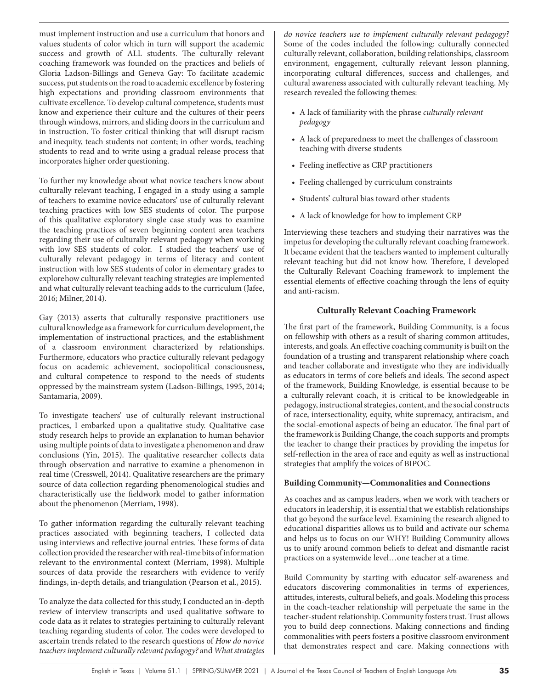must implement instruction and use a curriculum that honors and values students of color which in turn will support the academic success and growth of ALL students. The culturally relevant coaching framework was founded on the practices and beliefs of Gloria Ladson-Billings and Geneva Gay: To facilitate academic success, put students on the road to academic excellence by fostering high expectations and providing classroom environments that cultivate excellence. To develop cultural competence, students must know and experience their culture and the cultures of their peers through windows, mirrors, and sliding doors in the curriculum and in instruction. To foster critical thinking that will disrupt racism and inequity, teach students not content; in other words, teaching students to read and to write using a gradual release process that incorporates higher order questioning.

To further my knowledge about what novice teachers know about culturally relevant teaching, I engaged in a study using a sample of teachers to examine novice educators' use of culturally relevant teaching practices with low SES students of color. The purpose of this qualitative exploratory single case study was to examine the teaching practices of seven beginning content area teachers regarding their use of culturally relevant pedagogy when working with low SES students of color. I studied the teachers' use of culturally relevant pedagogy in terms of literacy and content instruction with low SES students of color in elementary grades to explore how culturally relevant teaching strategies are implemented and what culturally relevant teaching adds to the curriculum (Jafee, 2016; Milner, 2014).

Gay (2013) asserts that culturally responsive practitioners use cultural knowledge as a framework for curriculum development, the implementation of instructional practices, and the establishment of a classroom environment characterized by relationships. Furthermore, educators who practice culturally relevant pedagogy focus on academic achievement, sociopolitical consciousness, and cultural competence to respond to the needs of students oppressed by the mainstream system (Ladson-Billings, 1995, 2014; Santamaria, 2009).

To investigate teachers' use of culturally relevant instructional practices, I embarked upon a qualitative study. Qualitative case study research helps to provide an explanation to human behavior using multiple points of data to investigate a phenomenon and draw conclusions (Yin, 2015). The qualitative researcher collects data through observation and narrative to examine a phenomenon in real time (Cresswell, 2014). Qualitative researchers are the primary source of data collection regarding phenomenological studies and characteristically use the fieldwork model to gather information about the phenomenon (Merriam, 1998).

To gather information regarding the culturally relevant teaching practices associated with beginning teachers, I collected data using interviews and reflective journal entries. These forms of data collection provided the researcher with real-time bits of information relevant to the environmental context (Merriam, 1998). Multiple sources of data provide the researchers with evidence to verify findings, in-depth details, and triangulation (Pearson et al., 2015).

To analyze the data collected for this study, I conducted an in-depth review of interview transcripts and used qualitative software to code data as it relates to strategies pertaining to culturally relevant teaching regarding students of color. The codes were developed to ascertain trends related to the research questions of *How do novice teachers implement culturally relevant pedagogy?* and *What strategies* 

*do novice teachers use to implement culturally relevant pedagogy?* Some of the codes included the following: culturally connected culturally relevant, collaboration, building relationships, classroom environment, engagement, culturally relevant lesson planning, incorporating cultural differences, success and challenges, and cultural awareness associated with culturally relevant teaching. My research revealed the following themes:

- A lack of familiarity with the phrase *culturally relevant pedagogy*
- A lack of preparedness to meet the challenges of classroom teaching with diverse students
- Feeling ineffective as CRP practitioners
- Feeling challenged by curriculum constraints
- Students' cultural bias toward other students
- A lack of knowledge for how to implement CRP

Interviewing these teachers and studying their narratives was the impetus for developing the culturally relevant coaching framework. It became evident that the teachers wanted to implement culturally relevant teaching but did not know how. Therefore, I developed the Culturally Relevant Coaching framework to implement the essential elements of effective coaching through the lens of equity and anti-racism.

# **Culturally Relevant Coaching Framework**

The first part of the framework, Building Community, is a focus on fellowship with others as a result of sharing common attitudes, interests, and goals. An effective coaching community is built on the foundation of a trusting and transparent relationship where coach and teacher collaborate and investigate who they are individually as educators in terms of core beliefs and ideals. The second aspect of the framework, Building Knowledge*,* is essential because to be a culturally relevant coach, it is critical to be knowledgeable in pedagogy, instructional strategies, content, and the social constructs of race, intersectionality, equity, white supremacy, antiracism, and the social-emotional aspects of being an educator. The final part of the framework is Building Change, the coach supports and prompts the teacher to change their practices by providing the impetus for self-reflection in the area of race and equity as well as instructional strategies that amplify the voices of BIPOC.

# **Building Community—Commonalities and Connections**

As coaches and as campus leaders, when we work with teachers or educators in leadership, it is essential that we establish relationships that go beyond the surface level. Examining the research aligned to educational disparities allows us to build and activate our schema and helps us to focus on our WHY! Building Community allows us to unify around common beliefs to defeat and dismantle racist practices on a systemwide level…one teacher at a time.

Build Community by starting with educator self-awareness and educators discovering commonalities in terms of experiences, attitudes, interests, cultural beliefs, and goals. Modeling this process in the coach-teacher relationship will perpetuate the same in the teacher-student relationship. Community fosters trust. Trust allows you to build deep connections. Making connections and finding commonalities with peers fosters a positive classroom environment that demonstrates respect and care. Making connections with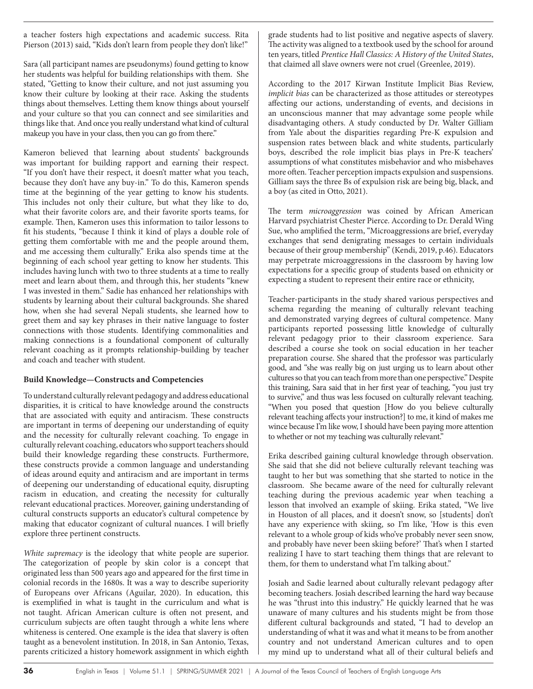a teacher fosters high expectations and academic success. Rita Pierson (2013) said, "Kids don't learn from people they don't like!"

Sara (all participant names are pseudonyms) found getting to know her students was helpful for building relationships with them. She stated, "Getting to know their culture, and not just assuming you know their culture by looking at their race. Asking the students things about themselves. Letting them know things about yourself and your culture so that you can connect and see similarities and things like that. And once you really understand what kind of cultural makeup you have in your class, then you can go from there."

Kameron believed that learning about students' backgrounds was important for building rapport and earning their respect. "If you don't have their respect, it doesn't matter what you teach, because they don't have any buy-in." To do this, Kameron spends time at the beginning of the year getting to know his students. This includes not only their culture, but what they like to do, what their favorite colors are, and their favorite sports teams, for example. Then, Kameron uses this information to tailor lessons to fit his students, "because I think it kind of plays a double role of getting them comfortable with me and the people around them, and me accessing them culturally." Erika also spends time at the beginning of each school year getting to know her students. This includes having lunch with two to three students at a time to really meet and learn about them, and through this, her students "knew I was invested in them." Sadie has enhanced her relationships with students by learning about their cultural backgrounds. She shared how, when she had several Nepali students, she learned how to greet them and say key phrases in their native language to foster connections with those students. Identifying commonalities and making connections is a foundational component of culturally relevant coaching as it prompts relationship-building by teacher and coach and teacher with student.

## **Build Knowledge—Constructs and Competencies**

To understand culturally relevant pedagogy and address educational disparities, it is critical to have knowledge around the constructs that are associated with equity and antiracism. These constructs are important in terms of deepening our understanding of equity and the necessity for culturally relevant coaching. To engage in culturally relevant coaching, educators who support teachers should build their knowledge regarding these constructs. Furthermore, these constructs provide a common language and understanding of ideas around equity and antiracism and are important in terms of deepening our understanding of educational equity, disrupting racism in education, and creating the necessity for culturally relevant educational practices. Moreover, gaining understanding of cultural constructs supports an educator's cultural competence by making that educator cognizant of cultural nuances. I will briefly explore three pertinent constructs.

*White supremacy* is the ideology that white people are superior. The categorization of people by skin color is a concept that originated less than 500 years ago and appeared for the first time in colonial records in the 1680s. It was a way to describe superiority of Europeans over Africans (Aguilar, 2020). In education, this is exemplified in what is taught in the curriculum and what is not taught. African American culture is often not present, and curriculum subjects are often taught through a white lens where whiteness is centered. One example is the idea that slavery is often taught as a benevolent institution. In 2018, in San Antonio, Texas, parents criticized a history homework assignment in which eighth

grade students had to list positive and negative aspects of slavery. The activity was aligned to a textbook used by the school for around ten years, titled *Prentice Hall Classics: A History of the United States*, that claimed all slave owners were not cruel (Greenlee, 2019).

According to the 2017 Kirwan Institute Implicit Bias Review, *implicit bias* can be characterized as those attitudes or stereotypes affecting our actions, understanding of events, and decisions in an unconscious manner that may advantage some people while disadvantaging others. A study conducted by Dr. Walter Gilliam from Yale about the disparities regarding Pre-K expulsion and suspension rates between black and white students, particularly boys, described the role implicit bias plays in Pre-K teachers' assumptions of what constitutes misbehavior and who misbehaves more often. Teacher perception impacts expulsion and suspensions. Gilliam says the three Bs of expulsion risk are being big, black, and a boy (as cited in Otto, 2021).

The term *microaggression* was coined by African American Harvard psychiatrist Chester Pierce. According to Dr. Derald Wing Sue, who amplified the term, "Microaggressions are brief, everyday exchanges that send denigrating messages to certain individuals because of their group membership" (Kendi, 2019, p.46). Educators may perpetrate microaggressions in the classroom by having low expectations for a specific group of students based on ethnicity or expecting a student to represent their entire race or ethnicity,

Teacher-participants in the study shared various perspectives and schema regarding the meaning of culturally relevant teaching and demonstrated varying degrees of cultural competence. Many participants reported possessing little knowledge of culturally relevant pedagogy prior to their classroom experience. Sara described a course she took on social education in her teacher preparation course. She shared that the professor was particularly good, and "she was really big on just urging us to learn about other cultures so that you can teach from more than one perspective." Despite this training, Sara said that in her first year of teaching, "you just try to survive," and thus was less focused on culturally relevant teaching. "When you posed that question [How do you believe culturally relevant teaching affects your instruction?] to me, it kind of makes me wince because I'm like wow, I should have been paying more attention to whether or not my teaching was culturally relevant."

Erika described gaining cultural knowledge through observation. She said that she did not believe culturally relevant teaching was taught to her but was something that she started to notice in the classroom. She became aware of the need for culturally relevant teaching during the previous academic year when teaching a lesson that involved an example of skiing. Erika stated, "We live in Houston of all places, and it doesn't snow, so [students] don't have any experience with skiing, so I'm like, 'How is this even relevant to a whole group of kids who've probably never seen snow, and probably have never been skiing before?' That's when I started realizing I have to start teaching them things that are relevant to them, for them to understand what I'm talking about."

Josiah and Sadie learned about culturally relevant pedagogy after becoming teachers. Josiah described learning the hard way because he was "thrust into this industry." He quickly learned that he was unaware of many cultures and his students might be from those different cultural backgrounds and stated, "I had to develop an understanding of what it was and what it means to be from another country and not understand American cultures and to open my mind up to understand what all of their cultural beliefs and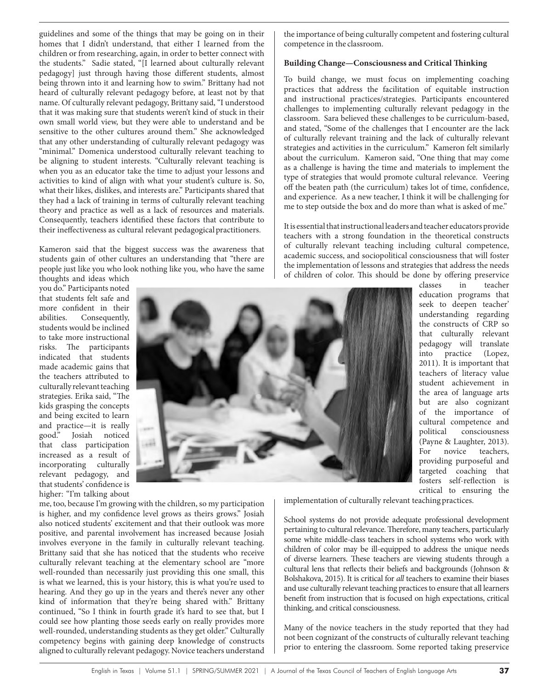guidelines and some of the things that may be going on in their homes that I didn't understand, that either I learned from the children or from researching, again, in order to better connect with the students." Sadie stated, "[I learned about culturally relevant pedagogy] just through having those different students, almost being thrown into it and learning how to swim." Brittany had not heard of culturally relevant pedagogy before, at least not by that name. Of culturally relevant pedagogy, Brittany said, "I understood that it was making sure that students weren't kind of stuck in their own small world view, but they were able to understand and be sensitive to the other cultures around them." She acknowledged that any other understanding of culturally relevant pedagogy was "minimal." Domenica understood culturally relevant teaching to be aligning to student interests. "Culturally relevant teaching is when you as an educator take the time to adjust your lessons and activities to kind of align with what your student's culture is. So, what their likes, dislikes, and interests are." Participants shared that they had a lack of training in terms of culturally relevant teaching theory and practice as well as a lack of resources and materials. Consequently, teachers identified these factors that contribute to their ineffectiveness as cultural relevant pedagogical practitioners.

Kameron said that the biggest success was the awareness that students gain of other cultures an understanding that "there are people just like you who look nothing like you, who have the same thoughts and ideas which

you do." Participants noted that students felt safe and more confident in their abilities. Consequently, students would be inclined to take more instructional risks. The participants indicated that students made academic gains that the teachers attributed to culturally relevant teaching strategies. Erika said, "The kids grasping the concepts and being excited to learn and practice—it is really<br>good." Josiah noticed Josiah noticed that class participation increased as a result of incorporating culturally relevant pedagogy, and that students' confidence is higher: "I'm talking about



me, too, because I'm growing with the children, so my participation is higher, and my confidence level grows as theirs grows." Josiah also noticed students' excitement and that their outlook was more positive, and parental involvement has increased because Josiah involves everyone in the family in culturally relevant teaching. Brittany said that she has noticed that the students who receive culturally relevant teaching at the elementary school are "more well-rounded than necessarily just providing this one small, this is what we learned, this is your history, this is what you're used to hearing. And they go up in the years and there's never any other kind of information that they're being shared with." Brittany continued, "So I think in fourth grade it's hard to see that, but I could see how planting those seeds early on really provides more well-rounded, understanding students as they get older." Culturally competency begins with gaining deep knowledge of constructs aligned to culturally relevant pedagogy. Novice teachers understand

the importance of being culturally competent and fostering cultural competence in the classroom.

#### **Building Change—Consciousness and Critical Thinking**

To build change, we must focus on implementing coaching practices that address the facilitation of equitable instruction and instructional practices/strategies. Participants encountered challenges to implementing culturally relevant pedagogy in the classroom. Sara believed these challenges to be curriculum-based, and stated, "Some of the challenges that I encounter are the lack of culturally relevant training and the lack of culturally relevant strategies and activities in the curriculum." Kameron felt similarly about the curriculum. Kameron said, "One thing that may come as a challenge is having the time and materials to implement the type of strategies that would promote cultural relevance. Veering off the beaten path (the curriculum) takes lot of time, confidence, and experience. As a new teacher, I think it will be challenging for me to step outside the box and do more than what is asked of me."

It is essential that instructional leaders and teacher educators provide teachers with a strong foundation in the theoretical constructs of culturally relevant teaching including cultural competence, academic success, and sociopolitical consciousness that will foster the implementation of lessons and strategies that address the needs of children of color. This should be done by offering preservice

classes in teacher education programs that seek to deepen teacher' understanding regarding the constructs of CRP so that culturally relevant pedagogy will translate into practice (Lopez, 2011). It is important that teachers of literacy value student achievement in the area of language arts but are also cognizant of the importance of cultural competence and political consciousness (Payne & Laughter, 2013). For novice teachers, providing purposeful and targeted coaching that fosters self-reflection is critical to ensuring the

implementation of culturally relevant teaching practices.

School systems do not provide adequate professional development pertaining to cultural relevance. Therefore, many teachers, particularly some white middle-class teachers in school systems who work with children of color may be ill-equipped to address the unique needs of diverse learners. These teachers are viewing students through a cultural lens that reflects their beliefs and backgrounds (Johnson & Bolshakova, 2015). It is critical for *all* teachers to examine their biases and use culturally relevant teaching practices to ensure that all learners benefit from instruction that is focused on high expectations, critical thinking, and critical consciousness.

Many of the novice teachers in the study reported that they had not been cognizant of the constructs of culturally relevant teaching prior to entering the classroom. Some reported taking preservice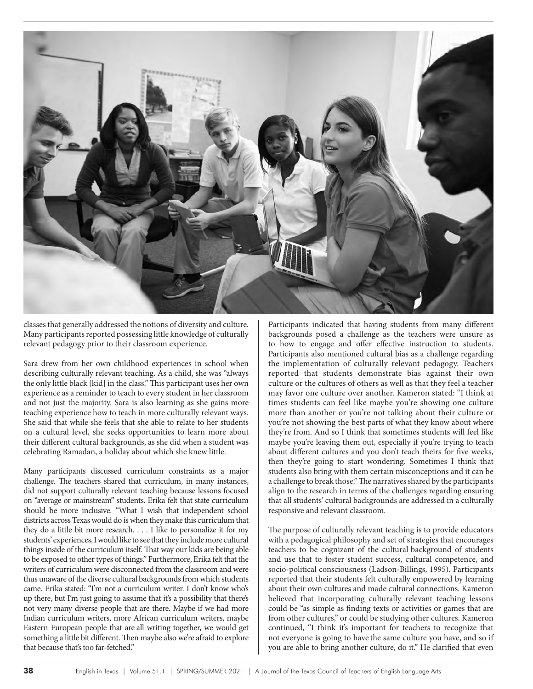

classes that generally addressed the notions of diversity and culture. Many participants reported possessing little knowledge of culturally relevant pedagogy prior to their classroom experience.

Sara drew from her own childhood experiences in school when describing culturally relevant teaching. As a child, she was "always the only little black [kid] in the class." This participant uses her own experience as a reminder to teach to every student in her classroom and not just the majority. Sara is also learning as she gains more teaching experience how to teach in more culturally relevant ways. She said that while she feels that she able to relate to her students on a cultural level, she seeks opportunities to learn more about their different cultural backgrounds, as she did when a student was celebrating Ramadan, a holiday about which she knew little.

Many participants discussed curriculum constraints as a major challenge. The teachers shared that curriculum, in many instances, did not support culturally relevant teaching because lessons focused on "average or mainstream" students. Erika felt that state curriculum should be more inclusive. "What I wish that independent school districts across Texas would do is when they make this curriculum that they do a little bit more research. . . . I like to personalize it for my students' experiences, I would like to see that they include more cultural things inside of the curriculum itself. That way our kids are being able to be exposed to other types of things." Furthermore, Erika felt that the writers of curriculum were disconnected from the classroom and were thus unaware of the diverse cultural backgrounds from which students came. Erika stated: "I'm not a curriculum writer. I don't know who's up there, but I'm just going to assume that it's a possibility that there's not very many diverse people that are there. Maybe if we had more Indian curriculum writers, more African curriculum writers, maybe Eastern European people that are all writing together, we would get something a little bit different. Then maybe also we're afraid to explore that because that's too far-fetched."

Participants indicated that having students from many different backgrounds posed a challenge as the teachers were unsure as to how to engage and offer effective instruction to students. Participants also mentioned cultural bias as a challenge regarding the implementation of culturally relevant pedagogy. Teachers reported that students demonstrate bias against their own culture or the cultures of others as well as that they feel a teacher may favor one culture over another. Kameron stated: "I think at times students can feel like maybe you're showing one culture more than another or you're not talking about their culture or you're not showing the best parts of what they know about where they're from. And so I think that sometimes students will feel like maybe you're leaving them out, especially if you're trying to teach about different cultures and you don't teach theirs for five weeks, then they're going to start wondering. Sometimes I think that students also bring with them certain misconceptions and it can be a challenge to break those." The narratives shared by the participants align to the research in terms of the challenges regarding ensuring that all students' cultural backgrounds are addressed in a culturally responsive and relevant classroom.

The purpose of culturally relevant teaching is to provide educators with a pedagogical philosophy and set of strategies that encourages teachers to be cognizant of the cultural background of students and use that to foster student success, cultural competence, and socio-political consciousness (Ladson-Billings, 1995). Participants reported that their students felt culturally empowered by learning about their own cultures and made cultural connections. Kameron believed that incorporating culturally relevant teaching lessons could be "as simple as finding texts or activities or games that are from other cultures," or could be studying other cultures. Kameron continued, "I think it's important for teachers to recognize that not everyone is going to have the same culture you have, and so if you are able to bring another culture, do it." He clarified that even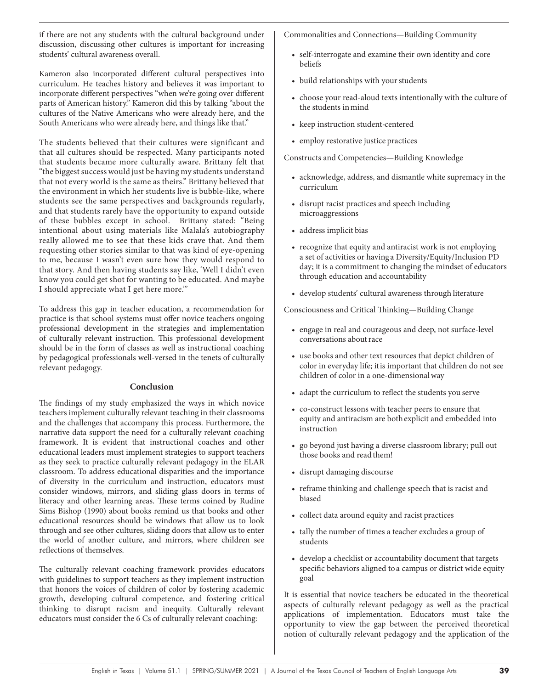if there are not any students with the cultural background under discussion, discussing other cultures is important for increasing students' cultural awareness overall.

Kameron also incorporated different cultural perspectives into curriculum. He teaches history and believes it was important to incorporate different perspectives "when we're going over different parts of American history." Kameron did this by talking "about the cultures of the Native Americans who were already here, and the South Americans who were already here, and things like that."

The students believed that their cultures were significant and that all cultures should be respected. Many participants noted that students became more culturally aware. Brittany felt that "the biggest success would just be having my students understand that not every world is the same as theirs." Brittany believed that the environment in which her students live is bubble-like, where students see the same perspectives and backgrounds regularly, and that students rarely have the opportunity to expand outside of these bubbles except in school. Brittany stated: "Being intentional about using materials like Malala's autobiography really allowed me to see that these kids crave that. And them requesting other stories similar to that was kind of eye-opening to me, because I wasn't even sure how they would respond to that story. And then having students say like, 'Well I didn't even know you could get shot for wanting to be educated. And maybe I should appreciate what I get here more.'"

To address this gap in teacher education, a recommendation for practice is that school systems must offer novice teachers ongoing professional development in the strategies and implementation of culturally relevant instruction. This professional development should be in the form of classes as well as instructional coaching by pedagogical professionals well-versed in the tenets of culturally relevant pedagogy.

## **Conclusion**

The findings of my study emphasized the ways in which novice teachers implement culturally relevant teaching in their classrooms and the challenges that accompany this process. Furthermore, the narrative data support the need for a culturally relevant coaching framework. It is evident that instructional coaches and other educational leaders must implement strategies to support teachers as they seek to practice culturally relevant pedagogy in the ELAR classroom. To address educational disparities and the importance of diversity in the curriculum and instruction, educators must consider windows, mirrors, and sliding glass doors in terms of literacy and other learning areas. These terms coined by Rudine Sims Bishop (1990) about books remind us that books and other educational resources should be windows that allow us to look through and see other cultures, sliding doors that allow us to enter the world of another culture, and mirrors, where children see reflections of themselves.

The culturally relevant coaching framework provides educators with guidelines to support teachers as they implement instruction that honors the voices of children of color by fostering academic growth, developing cultural competence, and fostering critical thinking to disrupt racism and inequity. Culturally relevant educators must consider the 6 Cs of culturally relevant coaching:

Commonalities and Connections—Building Community

- self-interrogate and examine their own identity and core beliefs
- build relationships with your students
- choose your read-aloud texts intentionally with the culture of the students in mind
- keep instruction student-centered
- employ restorative justice practices

Constructs and Competencies—Building Knowledge

- acknowledge, address, and dismantle white supremacy in the curriculum
- disrupt racist practices and speech including microaggressions
- address implicit bias
- recognize that equity and antiracist work is not employing a set of activities or having a Diversity/Equity/Inclusion PD day; it is a commitment to changing the mindset of educators through education and accountability
- develop students' cultural awareness through literature

Consciousness and Critical Thinking—Building Change

- engage in real and courageous and deep, not surface-level conversations about race
- use books and other text resources that depict children of color in everyday life; it is important that children do not see children of color in a one-dimensional way
- adapt the curriculum to reflect the students you serve
- co-construct lessons with teacher peers to ensure that equity and antiracism are both explicit and embedded into instruction
- go beyond just having a diverse classroom library; pull out those books and read them!
- disrupt damaging discourse
- reframe thinking and challenge speech that is racist and biased
- collect data around equity and racist practices
- tally the number of times a teacher excludes a group of students
- develop a checklist or accountability document that targets specific behaviors aligned to a campus or district wide equity goal

It is essential that novice teachers be educated in the theoretical aspects of culturally relevant pedagogy as well as the practical applications of implementation. Educators must take the opportunity to view the gap between the perceived theoretical notion of culturally relevant pedagogy and the application of the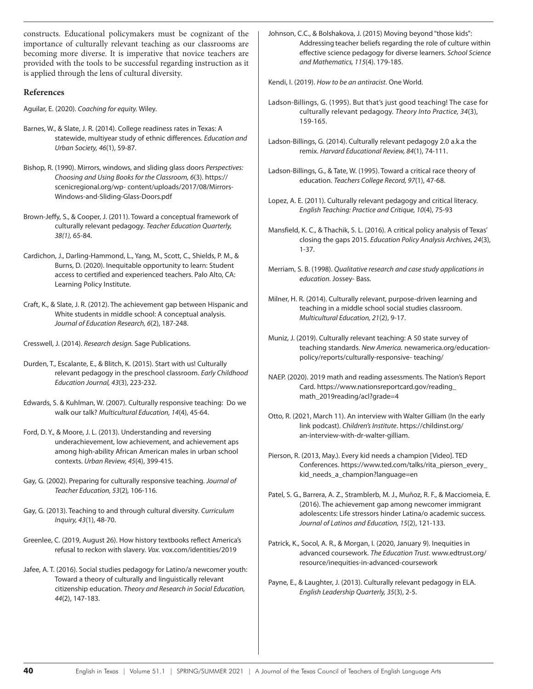constructs. Educational policymakers must be cognizant of the importance of culturally relevant teaching as our classrooms are becoming more diverse. It is imperative that novice teachers are provided with the tools to be successful regarding instruction as it is applied through the lens of cultural diversity.

# **References**

Aguilar, E. (2020). *Coaching for equity.* Wiley.

- Barnes, W., & Slate, J. R. (2014). College readiness rates in Texas: A statewide, multiyear study of ethnic differences. *Education and Urban Society, 46*(1), 59-87.
- Bishop, R. (1990). Mirrors, windows, and sliding glass doors *Perspectives: Choosing and Using Books for the Classroom, 6*(3). https:// scenicregional.org/wp- content/uploads/2017/08/Mirrors-Windows-and-Sliding-Glass-Doors.pdf

Brown-Jeffy, S., & Cooper, J. (2011). Toward a conceptual framework of culturally relevant pedagogy. *Teacher Education Quarterly, 38(1),* 65-84.

- Cardichon, J., Darling-Hammond, L., Yang, M., Scott, C., Shields, P. M., & Burns, D. (2020). Inequitable opportunity to learn: Student access to certified and experienced teachers. Palo Alto, CA: Learning Policy Institute.
- Craft, K., & Slate, J. R. (2012). The achievement gap between Hispanic and White students in middle school: A conceptual analysis. *Journal of Education Research, 6*(2), 187-248.
- Cresswell, J. (2014). *Research design.* Sage Publications.
- Durden, T., Escalante, E., & Blitch, K. (2015). Start with us! Culturally relevant pedagogy in the preschool classroom. *Early Childhood Education Journal, 43*(3), 223-232.
- Edwards, S. & Kuhlman, W. (2007). Culturally responsive teaching: Do we walk our talk? *Multicultural Education, 14*(4), 45-64.

Ford, D. Y., & Moore, J. L. (2013). Understanding and reversing underachievement, low achievement, and achievement aps among high-ability African American males in urban school contexts. *Urban Review, 45*(4), 399-415.

- Gay, G. (2002). Preparing for culturally responsive teaching. *Journal of Teacher Education, 53*(2)*,* 106-116.
- Gay, G. (2013). Teaching to and through cultural diversity. *Curriculum Inquiry, 43*(1), 48-70.
- Greenlee, C. (2019, August 26). How history textbooks reflect America's refusal to reckon with slavery. *Vox.* vox.com/identities/2019
- Jafee, A. T. (2016). Social studies pedagogy for Latino/a newcomer youth: Toward a theory of culturally and linguistically relevant citizenship education. *Theory and Research in Social Education, 44*(2), 147-183.

Johnson, C.C., & Bolshakova, J. (2015) Moving beyond "those kids": Addressing teacher beliefs regarding the role of culture within effective science pedagogy for diverse learners. *School Science and Mathematics, 115*(4). 179-185.

Kendi, I. (2019). *How to be an antiracist*. One World.

- Ladson-Billings, G. (1995). But that's just good teaching! The case for culturally relevant pedagogy. *Theory Into Practice, 34*(3), 159-165.
- Ladson-Billings, G. (2014). Culturally relevant pedagogy 2.0 a.k.a the remix. *Harvard Educational Review, 84*(1), 74-111.
- Ladson-Billings, G., & Tate, W. (1995). Toward a critical race theory of education. *Teachers College Record, 97*(1), 47-68.
- Lopez, A. E. (2011). Culturally relevant pedagogy and critical literacy. *English Teaching: Practice and Critique, 10*(4), 75-93
- Mansfield, K. C., & Thachik, S. L. (2016). A critical policy analysis of Texas' closing the gaps 2015. *Education Policy Analysis Archives, 24*(3), 1-37.
- Merriam, S. B. (1998). *Qualitative research and case study applications in education.* Jossey- Bass.
- Milner, H. R. (2014). Culturally relevant, purpose-driven learning and teaching in a middle school social studies classroom. *Multicultural Education, 21*(2), 9-17.
- Muniz, J. (2019). Culturally relevant teaching: A 50 state survey of teaching standards. *New America.* newamerica.org/educationpolicy/reports/culturally-responsive- teaching/
- NAEP. (2020). 2019 math and reading assessments. The Nation's Report Card. https://www.nationsreportcard.gov/reading\_ math\_2019reading/acl?grade=4
- Otto, R. (2021, March 11). An interview with Walter Gilliam (In the early link podcast). *Children's Institute*. https://childinst.org/ an-interview-with-dr-walter-gilliam.
- Pierson, R. (2013, May.). Every kid needs a champion [Video]. TED Conferences. https://www.ted.com/talks/rita\_pierson\_every\_ kid\_needs\_a\_champion?language=en
- Patel, S. G., Barrera, A. Z., Stramblerb, M. J., Muñoz, R. F., & Macciomeia, E. (2016). The achievement gap among newcomer immigrant adolescents: Life stressors hinder Latina/o academic success. *Journal of Latinos and Education, 15*(2), 121-133.
- Patrick, K., Socol, A. R., & Morgan, I. (2020, January 9). Inequities in advanced coursework. *The Education Trust*. www.edtrust.org/ resource/inequities-in-advanced-coursework
- Payne, E., & Laughter, J. (2013). Culturally relevant pedagogy in ELA. *English Leadership Quarterly, 35*(3), 2-5.